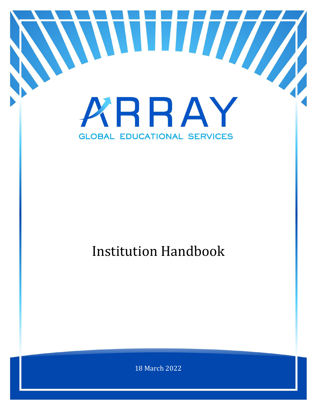

# Institution Handbook

18 March 2022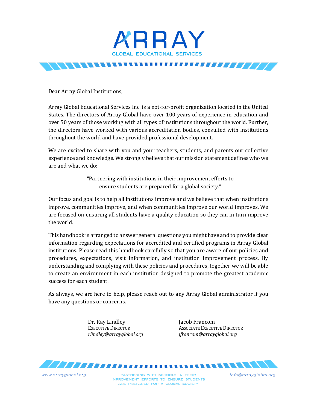

Dear Array Global Institutions,

Array Global Educational Services Inc. is a not-for-profit organization located in the United States. The directors of Array Global have over 100 years of experience in education and over 50 years of those working with all types of institutions throughout the world. Further, the directors have worked with various accreditation bodies, consulted with institutions throughout the world and have provided professional development.

We are excited to share with you and your teachers, students, and parents our collective experience and knowledge. We strongly believe that our mission statement defines who we are and what we do:

> "Partnering with institutions in their improvement efforts to ensure students are prepared for a global society."

Our focus and goal is to help all institutions improve and we believe that when institutions improve, communities improve, and when communities improve our world improves. We are focused on ensuring all students have a quality education so they can in turn improve the world.

This handbook is arranged to answer general questions you might have and to provide clear information regarding expectations for accredited and certified programs in Array Global institutions. Please read this handbook carefully so that you are aware of our policies and procedures, expectations, visit information, and institution improvement process. By understanding and complying with these policies and procedures, together we will be able to create an environment in each institution designed to promote the greatest academic success for each student.

As always, we are here to help, please reach out to any Array Global administrator if you have any questions or concerns.

Dr. Ray Lindley Jacob Francom

www.arrayglobal.org

EXECUTIVE DIRECTOR<br>
Findley@arrayalobal.org<br>
ffrancom@arrayalobal.org<br>
ifrancom@arrayalobal.org *rlindley@arrayglobal.org jfrancom@arrayglobal.org*



PARTNERING WITH SCHOOLS IN THEIR IMPROVEMENT EFFORTS TO ENSURE STUDENTS ARE PREPARED FOR A GLOBAL SOCIETY

info@arravalobal.ora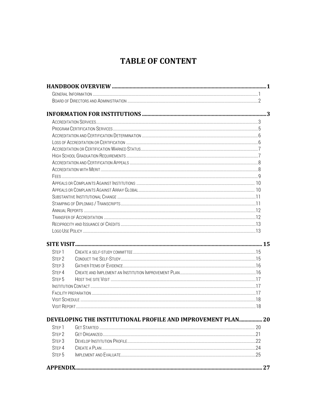# **TABLE OF CONTENT**

| STEP <sub>1</sub>                      |                                                              |  |
|----------------------------------------|--------------------------------------------------------------|--|
| STEP <sub>2</sub>                      |                                                              |  |
| STEP <sub>3</sub>                      |                                                              |  |
| STEP <sub>4</sub>                      |                                                              |  |
| STEP <sub>5</sub>                      |                                                              |  |
|                                        |                                                              |  |
|                                        |                                                              |  |
|                                        |                                                              |  |
|                                        |                                                              |  |
|                                        | DEVELOPING THE INSTITUTIONAL PROFILE AND IMPROVEMENT PLAN 20 |  |
| STEP <sub>1</sub>                      |                                                              |  |
| STFP <sub>2</sub>                      |                                                              |  |
|                                        |                                                              |  |
| STEP <sub>3</sub><br>STEP <sub>4</sub> |                                                              |  |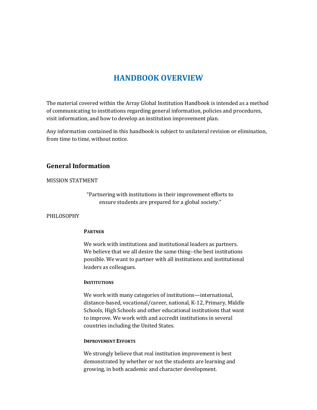# **HANDBOOK OVERVIEW**

The material covered within the Array Global Institution Handbook is intended as a method of communicating to institutions regarding general information, policies and procedures, visit information, and how to develop an institution improvement plan.

Any information contained in this handbook is subject to unilateral revision or elimination, from time to time, without notice.

# **General Information**

#### MISSION STATMENT

"Partnering with institutions in their improvement efforts to ensure students are prepared for a global society."

#### PHILOSOPHY

#### **PARTNER**

We work with institutions and institutional leaders as partners. We believe that we all desire the same thing--the best institutions possible. We want to partner with all institutions and institutional leaders as colleagues.

#### **INSTITUTIONS**

We work with many categories of institutions—international, distance-based, vocational/career, national, K-12, Primary, Middle Schools, High Schools and other educational institutions that want to improve. We work with and accredit institutions in several countries including the United States.

#### **IMPROVEMENT EFFORTS**

We strongly believe that real institution improvement is best demonstrated by whether or not the students are learning and growing, in both academic and character development.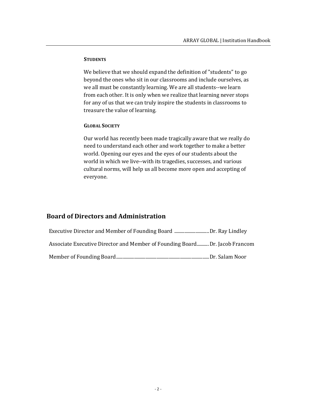#### **STUDENTS**

We believe that we should expand the definition of "students" to go beyond the ones who sit in our classrooms and include ourselves, as we all must be constantly learning. We are all students--we learn from each other. It is only when we realize that learning never stops for any of us that we can truly inspire the students in classrooms to treasure the value of learning.

#### **GLOBAL SOCIETY**

Our world has recently been made tragically aware that we really do need to understand each other and work together to make a better world. Opening our eyes and the eyes of our students about the world in which we live--with its tragedies, successes, and various cultural norms, will help us all become more open and accepting of everyone.

# **Board of Directors and Administration**

| Executive Director and Member of Founding Board Dr. Ray Lindley            |  |
|----------------------------------------------------------------------------|--|
| Associate Executive Director and Member of Founding BoardDr. Jacob Francom |  |
|                                                                            |  |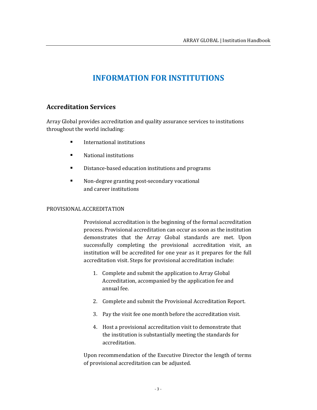# **INFORMATION FOR INSTITUTIONS**

# **Accreditation Services**

Array Global provides accreditation and quality assurance services to institutions throughout the world including:

- **International institutions**
- National institutions
- Distance-based education institutions and programs
- Non-degree granting post-secondary vocational and career institutions

#### PROVISIONAL ACCREDITATION

Provisional accreditation is the beginning of the formal accreditation process. Provisional accreditation can occur as soon as the institution demonstrates that the Array Global standards are met. Upon successfully completing the provisional accreditation visit, an institution will be accredited for one year as it prepares for the full accreditation visit. Steps for provisional accreditation include:

- 1. Complete and submit the application to Array Global Accreditation, accompanied by the application fee and annual fee.
- 2. Complete and submit the Provisional Accreditation Report.
- 3. Pay the visit fee one month before the accreditation visit.
- 4. Host a provisional accreditation visit to demonstrate that the institution is substantially meeting the standards for accreditation.

Upon recommendation of the Executive Director the length of terms of provisional accreditation can be adjusted.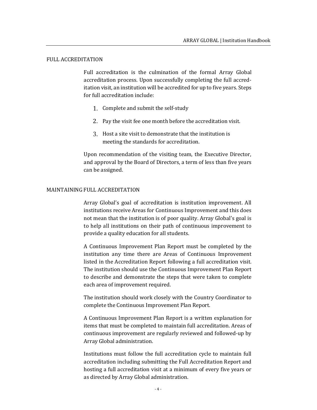#### FULL ACCREDITATION

Full accreditation is the culmination of the formal Array Global accreditation process. Upon successfully completing the full accreditation visit, an institution will be accredited for up to five years. Steps for full accreditation include:

- 1. Complete and submit the self-study
- 2. Pay the visit fee one month before the accreditation visit.
- Host a site visit to demonstrate that the institution is meeting the standards for accreditation.

Upon recommendation of the visiting team, the Executive Director, and approval by the Board of Directors, a term of less than five years can be assigned.

#### MAINTAINING FULL ACCREDITATION

Array Global's goal of accreditation is institution improvement. All institutions receive Areas for Continuous Improvement and this does not mean that the institution is of poor quality. Array Global's goal is to help all institutions on their path of continuous improvement to provide a quality education for all students.

A Continuous Improvement Plan Report must be completed by the institution any time there are Areas of Continuous Improvement listed in the Accreditation Report following a full accreditation visit. The institution should use the Continuous Improvement Plan Report to describe and demonstrate the steps that were taken to complete each area of improvement required.

The institution should work closely with the Country Coordinator to complete the Continuous Improvement Plan Report.

A Continuous Improvement Plan Report is a written explanation for items that must be completed to maintain full accreditation. Areas of continuous improvement are regularly reviewed and followed-up by Array Global administration.

Institutions must follow the full accreditation cycle to maintain full accreditation including submitting the Full Accreditation Report and hosting a full accreditation visit at a minimum of every five years or as directed by Array Global administration.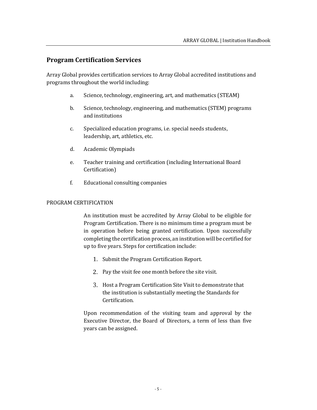# **Program Certification Services**

Array Global provides certification services to Array Global accredited institutions and programs throughout the world including:

- a. Science, technology, engineering, art, and mathematics (STEAM)
- b. Science, technology, engineering, and mathematics (STEM) programs and institutions
- c. Specialized education programs, i.e. special needs students, leadership, art, athletics, etc.
- d. Academic Olympiads
- e. Teacher training and certification (including International Board Certification)
- f. Educational consulting companies

#### PROGRAM CERTIFICATION

An institution must be accredited by Array Global to be eligible for Program Certification. There is no minimum time a program must be in operation before being granted certification. Upon successfully completing the certification process, an institution will be certified for up to five years. Steps for certification include:

- 1. Submit the Program Certification Report.
- 2. Pay the visit fee one month before the site visit.
- Host a Program Certification Site Visit to demonstrate that the institution is substantially meeting the Standards for Certification.

Upon recommendation of the visiting team and approval by the Executive Director, the Board of Directors, a term of less than five years can be assigned.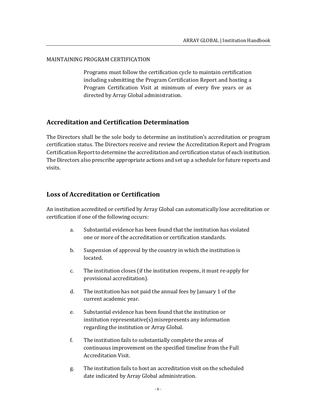#### MAINTAINING PROGRAM CERTIFICATION

Programs must follow the certification cycle to maintain certification including submitting the Program Certification Report and hosting a Program Certification Visit at minimum of every five years or as directed by Array Global administration.

# **Accreditation and Certification Determination**

The Directors shall be the sole body to determine an institution's accreditation or program certification status. The Directors receive and review the Accreditation Report and Program Certification Report to determine the accreditation and certification status of each institution. The Directors also prescribe appropriate actions and set up a schedule for future reports and visits.

# **Loss of Accreditation or Certification**

An institution accredited or certified by Array Global can automatically lose accreditation or certification if one of the following occurs:

- a. Substantial evidence has been found that the institution has violated one or more of the accreditation or certification standards.
- b. Suspension of approval by the country in which the institution is located.
- c. The institution closes (if the institution reopens, it must re-apply for provisional accreditation).
- d. The institution has not paid the annual fees by January 1 of the current academic year.
- e. Substantial evidence has been found that the institution or institution representative(s) misrepresents any information regarding the institution or Array Global.
- f. The institution fails to substantially complete the areas of continuous improvement on the specified timeline from the Full Accreditation Visit.
- g. The institution fails to host an accreditation visit on the scheduled date indicated by Array Global administration.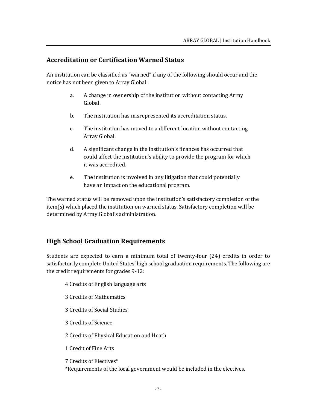# **Accreditation or Certification Warned Status**

An institution can be classified as "warned" if any of the following should occur and the notice has not been given to Array Global:

- a. A change in ownership of the institution without contacting Array Global.
- b. The institution has misrepresented its accreditation status.
- c. The institution has moved to a different location without contacting Array Global.
- d. A significant change in the institution's finances has occurred that could affect the institution's ability to provide the program for which it was accredited.
- e. The institution is involved in any litigation that could potentially have an impact on the educational program.

The warned status will be removed upon the institution's satisfactory completion of the item(s) which placed the institution on warned status. Satisfactory completion will be determined by Array Global's administration.

# **High School Graduation Requirements**

Students are expected to earn a minimum total of twenty-four (24) credits in order to satisfactorily complete United States' high school graduation requirements. The following are the credit requirements for grades 9-12:

- 4 Credits of English language arts
- 3 Credits of Mathematics
- 3 Credits of Social Studies
- 3 Credits of Science
- 2 Credits of Physical Education and Heath
- 1 Credit of Fine Arts

7 Credits of Electives\*

\*Requirements of the local government would be included in the electives.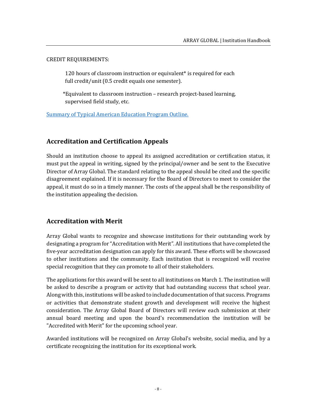#### CREDIT REQUIREMENTS:

120 hours of classroom instruction or equivalent<sup>\*</sup> is required for each full credit/unit (0.5 credit equals one semester).

\*Equivalent to classroom instruction – research project-based learning, supervised field study, etc.

[Summary of Typical American Education Program Outline.](https://drive.google.com/file/d/18sKAxgcob8pj2MYc-vCgkAwwxgTTTAum/view?usp=sharing)

# **Accreditation and Certification Appeals**

Should an institution choose to appeal its assigned accreditation or certification status, it must put the appeal in writing, signed by the principal/owner and be sent to the Executive Director of Array Global. The standard relating to the appeal should be cited and the specific disagreement explained. If it is necessary for the Board of Directors to meet to consider the appeal, it must do so in a timely manner. The costs of the appeal shall be the responsibility of the institution appealing the decision.

# **Accreditation with Merit**

Array Global wants to recognize and showcase institutions for their outstanding work by designating a program for "Accreditation with Merit". All institutions that have completed the five-year accreditation designation can apply for this award. These efforts will be showcased to other institutions and the community. Each institution that is recognized will receive special recognition that they can promote to all of their stakeholders.

The applications for this award will be sent to all institutions on March 1. The institution will be asked to describe a program or activity that had outstanding success that school year. Along with this, institutions will be asked to include documentation of that success. Programs or activities that demonstrate student growth and development will receive the highest consideration. The Array Global Board of Directors will review each submission at their annual board meeting and upon the board's recommendation the institution will be "Accredited with Merit" for the upcoming school year.

Awarded institutions will be recognized on Array Global's website, social media, and by a certificate recognizing the institution for its exceptional work.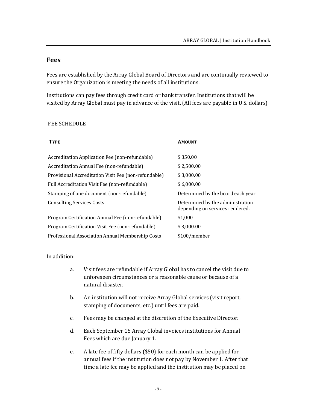# **Fees**

Fees are established by the Array Global Board of Directors and are continually reviewed to ensure the Organization is meeting the needs of all institutions.

Institutions can pay fees through credit card or bank transfer. Institutions that will be visited by Array Global must pay in advance of the visit. (All fees are payable in U.S. dollars)

#### FEE SCHEDULE

| <b>TYPE</b>                                          | AMOUNT                                                              |
|------------------------------------------------------|---------------------------------------------------------------------|
| Accreditation Application Fee (non-refundable)       | \$350.00                                                            |
| Accreditation Annual Fee (non-refundable)            | \$2,500.00                                                          |
| Provisional Accreditation Visit Fee (non-refundable) | \$3,000.00                                                          |
| Full Accreditation Visit Fee (non-refundable)        | \$6,000.00                                                          |
| Stamping of one document (non-refundable)            | Determined by the board each year.                                  |
| <b>Consulting Services Costs</b>                     | Determined by the administration<br>depending on services rendered. |
| Program Certification Annual Fee (non-refundable)    | \$1,000                                                             |
| Program Certification Visit Fee (non-refundable)     | \$3,000.00                                                          |
| Professional Association Annual Membership Costs     | \$100/member                                                        |

#### In addition:

- a. Visit fees are refundable if Array Global has to cancel the visit due to unforeseen circumstances or a reasonable cause or because of a natural disaster.
- b. An institution will not receive Array Global services (visit report, stamping of documents, etc.) until fees are paid.
- c. Fees may be changed at the discretion of the Executive Director.
- d. Each September 15 Array Global invoices institutions for Annual Fees which are due January 1.
- e. A late fee of fifty dollars (\$50) for each month can be applied for annual fees if the institution does not pay by November 1. After that time a late fee may be applied and the institution may be placed on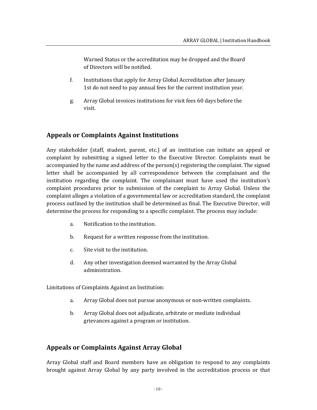Warned Status or the accreditation may be dropped and the Board of Directors will be notified.

- f. Institutions that apply for Array Global Accreditation after January 1st do not need to pay annual fees for the current institution year.
- g. Array Global invoices institutions for visit fees 60 days before the visit.

# **Appeals or Complaints Against Institutions**

Any stakeholder (staff, student, parent, etc.) of an institution can initiate an appeal or complaint by submitting a signed letter to the Executive Director. Complaints must be accompanied by the name and address of the person(s) registering the complaint. The signed letter shall be accompanied by all correspondence between the complainant and the institution regarding the complaint. The complainant must have used the institution's complaint procedures prior to submission of the complaint to Array Global. Unless the complaint alleges a violation of a governmental law or accreditation standard, the complaint process outlined by the institution shall be determined as final. The Executive Director, will determine the process for responding to a specific complaint. The process may include:

- a. Notification to the institution.
- b. Request for a written response from the institution.
- c. Site visit to the institution.
- d. Any other investigation deemed warranted by the Array Global administration.

Limitations of Complaints Against an Institution:

- a. Array Global does not pursue anonymous or non-written complaints.
- b. Array Global does not adjudicate, arbitrate or mediate individual grievances against a program or institution.

# **Appeals or Complaints Against Array Global**

Array Global staff and Board members have an obligation to respond to any complaints brought against Array Global by any party involved in the accreditation process or that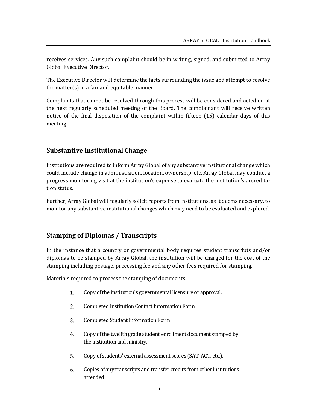receives services. Any such complaint should be in writing, signed, and submitted to Array Global Executive Director.

The Executive Director will determine the facts surrounding the issue and attempt to resolve the matter(s) in a fair and equitable manner.

Complaints that cannot be resolved through this process will be considered and acted on at the next regularly scheduled meeting of the Board. The complainant will receive written notice of the final disposition of the complaint within fifteen (15) calendar days of this meeting.

# **Substantive Institutional Change**

Institutions are required to inform Array Global of any substantive institutional change which could include change in administration, location, ownership, etc. Array Global may conduct a progress monitoring visit at the institution's expense to evaluate the institution's accreditation status.

Further, Array Global will regularly solicit reports from institutions, as it deems necessary, to monitor any substantive institutional changes which may need to be evaluated and explored.

# **Stamping of Diplomas / Transcripts**

In the instance that a country or governmental body requires student transcripts and/or diplomas to be stamped by Array Global, the institution will be charged for the cost of the stamping including postage, processing fee and any other fees required for stamping.

Materials required to process the stamping of documents:

- 1. Copy of the institution's governmental licensure or approval.
- 2. Completed Institution Contact Information Form
- 3. Completed Student Information Form
- $4.$ Copy of the twelfth grade student enrollment document stamped by the institution and ministry.
- 5. Copy of students' external assessment scores (SAT, ACT, etc.).
- Copies of any transcripts and transfer credits from other institutions 6. attended.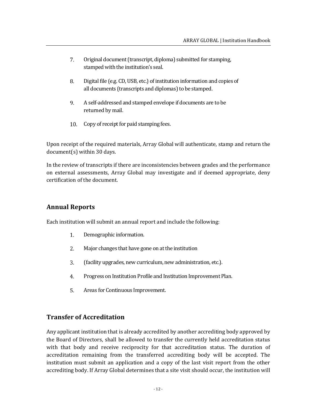- 7. Original document (transcript, diploma) submitted for stamping, stamped with the institution's seal.
- 8. Digital file (e.g. CD, USB, etc.) of institution information and copies of all documents (transcripts and diplomas) to be stamped.
- 9. A self-addressed and stamped envelope if documents are to be returned by mail.
- Copy of receipt for paid stamping fees. 10.

Upon receipt of the required materials, Array Global will authenticate, stamp and return the document(s) within 30 days.

In the review of transcripts if there are inconsistencies between grades and the performance on external assessments, Array Global may investigate and if deemed appropriate, deny certification of the document.

# **Annual Reports**

Each institution will submit an annual report and include the following:

- $1.$ Demographic information.
- $2.$ Major changes that have gone on at the institution
- 3. (facility upgrades, new curriculum, new administration, etc.).
- 4. Progress on Institution Profile and Institution Improvement Plan.
- Areas for Continuous Improvement. 5.

# **Transfer of Accreditation**

Any applicant institution that is already accredited by another accrediting body approved by the Board of Directors, shall be allowed to transfer the currently held accreditation status with that body and receive reciprocity for that accreditation status. The duration of accreditation remaining from the transferred accrediting body will be accepted. The institution must submit an application and a copy of the last visit report from the other accrediting body. If Array Global determines that a site visit should occur, the institution will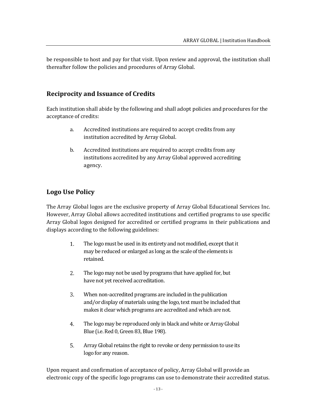be responsible to host and pay for that visit. Upon review and approval, the institution shall thereafter follow the policies and procedures of Array Global.

# **Reciprocity and Issuance of Credits**

Each institution shall abide by the following and shall adopt policies and procedures for the acceptance of credits:

- a. Accredited institutions are required to accept credits from any institution accredited by Array Global.
- b. Accredited institutions are required to accept credits from any institutions accredited by any Array Global approved accrediting agency.

# **Logo Use Policy**

The Array Global logos are the exclusive property of Array Global Educational Services Inc. However, Array Global allows accredited institutions and certified programs to use specific Array Global logos designed for accredited or certified programs in their publications and displays according to the following guidelines:

- The logo must be used in its entirety and not modified, except that it  $1<sub>1</sub>$ may be reduced or enlarged as long as the scale of the elements is retained.
- 2. The logo may not be used by programs that have applied for, but have not yet received accreditation.
- 3. When non-accredited programs are included in the publication and/or display of materials using the logo, text must be included that makes it clear which programs are accredited and which are not.
- 4. The logo may be reproduced only in black and white or Array Global Blue (i.e. Red 0, Green 83, Blue 198).
- 5. Array Global retains the right to revoke or deny permission to use its logo for any reason.

Upon request and confirmation of acceptance of policy, Array Global will provide an electronic copy of the specific logo programs can use to demonstrate their accredited status.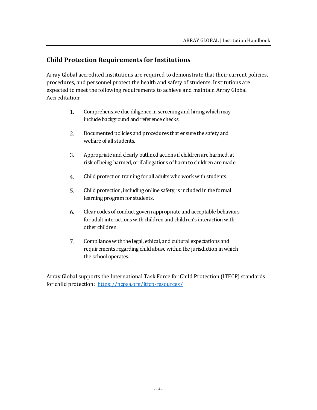# **Child Protection Requirements for Institutions**

Array Global accredited institutions are required to demonstrate that their current policies, procedures, and personnel protect the health and safety of students. Institutions are expected to meet the following requirements to achieve and maintain Array Global Accreditation:

- Comprehensive due diligence in screening and hiring which may  $1.$ include background and reference checks.
- 2. Documented policies and procedures that ensure the safety and welfare of all students.
- 3. Appropriate and clearly outlined actions if children are harmed, at risk of being harmed, or if allegations of harm to children are made.
- $4.$ Child protection training for all adults who work with students.
- 5. Child protection, including online safety, is included in the formal learning program for students.
- 6. Clear codes of conduct govern appropriate and acceptable behaviors for adult interactions with children and children's interaction with other children.
- 7. Compliance with the legal, ethical, and cultural expectations and requirements regarding child abuse within the jurisdiction in which the school operates.

Array Global supports the [International Task Force for Child Protection \(ITFCP\)](https://www.cois.org/about-cis/child-protection/international-taskforce-on-child-protection) standards for child protection:<https://ncpsa.org/itfcp-resources/>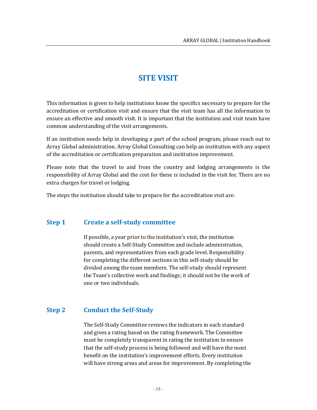# **SITE VISIT**

This information is given to help institutions know the specifics necessary to prepare for the accreditation or certification visit and ensure that the visit team has all the information to ensure an effective and smooth visit. It is important that the institution and visit team have common understanding of the visit arrangements.

If an institution needs help in developing a part of the school program, please reach out to Array Global administration. Array Global Consulting can help an institution with any aspect of the accreditation or certification preparation and institution improvement.

Please note that the travel to and from the country and lodging arrangements is the responsibility of Array Global and the cost for these is included in the visit fee. There are no extra charges for travel or lodging.

The steps the institution should take to prepare for the accreditation visit are:

# **Step 1 Create a self-study committee**

If possible, a year prior to the institution's visit, the institution should create a Self-Study Committee and include administration, parents, and representatives from each grade level. Responsibility for completing the different sections in this self-study should be divided among the team members. The self-study should represent the Team's collective work and findings; it should not be the work of one or two individuals.

# **Step 2 Conduct the Self-Study**

The Self-Study Committee reviews the indicators in each standard and gives a rating based on the rating framework. The Committee must be completely transparent in rating the institution to ensure that the self-study process is being followed and will have the most benefit on the institution's improvement efforts. Every institution will have strong areas and areas for improvement. By completing the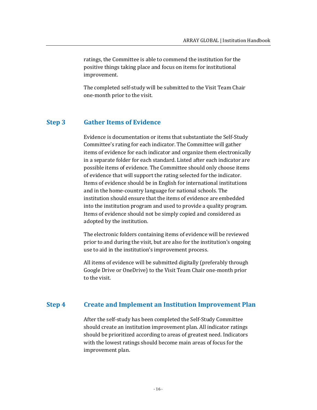ratings, the Committee is able to commend the institution for the positive things taking place and focus on items for institutional improvement.

The completed self-study will be submitted to the Visit Team Chair one-month prior to the visit.

#### **Step 3 Gather Items of Evidence**

Evidence is documentation or items that substantiate the Self-Study Committee's rating for each indicator. The Committee will gather items of evidence for each indicator and organize them electronically in a separate folder for each standard. Listed after each indicator are possible items of evidence. The Committee should only choose items of evidence that will support the rating selected for the indicator. Items of evidence should be in English for international institutions and in the home-country language for national schools. The institution should ensure that the items of evidence are embedded into the institution program and used to provide a quality program. Items of evidence should not be simply copied and considered as adopted by the institution.

The electronic folders containing items of evidence will be reviewed prior to and during the visit, but are also for the institution's ongoing use to aid in the institution's improvement process.

All items of evidence will be submitted digitally (preferably through Google Drive or OneDrive) to the Visit Team Chair one-month prior to the visit.

#### **Step 4 Create and Implement an Institution Improvement Plan**

After the self-study has been completed the Self-Study Committee should create an institution improvement plan. All indicator ratings should be prioritized according to areas of greatest need. Indicators with the lowest ratings should become main areas of focus for the improvement plan.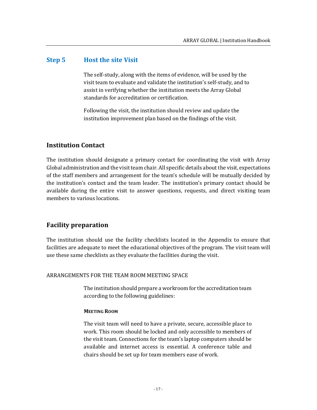#### **Step 5 Host the site Visit**

The self-study, along with the items of evidence, will be used by the visit team to evaluate and validate the institution's self-study, and to assist in verifying whether the institution meets the Array Global standards for accreditation or certification.

Following the visit, the institution should review and update the institution improvement plan based on the findings of the visit.

# **Institution Contact**

The institution should designate a primary contact for coordinating the visit with Array Global administration and the visit team chair. All specific details about the visit, expectations of the staff members and arrangement for the team's schedule will be mutually decided by the institution's contact and the team leader. The institution's primary contact should be available during the entire visit to answer questions, requests, and direct visiting team members to various locations.

#### **Facility preparation**

The institution should use the facility checklists located in the Appendix to ensure that facilities are adequate to meet the educational objectives of the program. The visit team will use these same checklists as they evaluate the facilities during the visit.

#### ARRANGEMENTS FOR THE TEAM ROOM MEETING SPACE

The institution should prepare a workroom for the accreditation team according to the following guidelines:

#### **MEETING ROOM**

The visit team will need to have a private, secure, accessible place to work. This room should be locked and only accessible to members of the visit team. Connections for the team's laptop computers should be available and internet access is essential. A conference table and chairs should be set up for team members ease of work.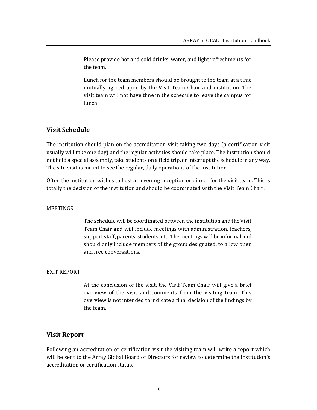Please provide hot and cold drinks, water, and light refreshments for the team.

Lunch for the team members should be brought to the team at a time mutually agreed upon by the Visit Team Chair and institution. The visit team will not have time in the schedule to leave the campus for lunch.

# **Visit Schedule**

The institution should plan on the accreditation visit taking two days (a certification visit usually will take one day) and the regular activities should take place. The institution should not hold a special assembly, take students on a field trip, or interrupt the schedule in any way. The site visit is meant to see the regular, daily operations of the institution.

Often the institution wishes to host an evening reception or dinner for the visit team. This is totally the decision of the institution and should be coordinated with the Visit Team Chair.

#### **MEETINGS**

The schedule will be coordinated between the institution and the Visit Team Chair and will include meetings with administration, teachers, support staff, parents, students, etc. The meetings will be informal and should only include members of the group designated, to allow open and free conversations.

#### EXIT REPORT

At the conclusion of the visit, the Visit Team Chair will give a brief overview of the visit and comments from the visiting team. This overview is not intended to indicate a final decision of the findings by the team.

# **Visit Report**

Following an accreditation or certification visit the visiting team will write a report which will be sent to the Array Global Board of Directors for review to determine the institution's accreditation or certification status.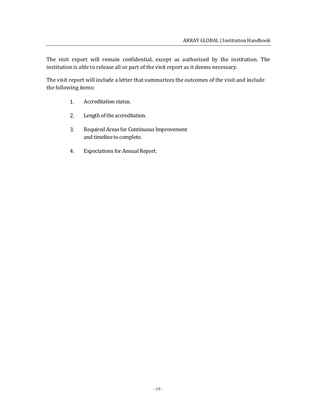The visit report will remain confidential, except as authorized by the institution. The institution is able to release all or part of the visit report as it deems necessary.

The visit report will include a letter that summarizes the outcomes of the visit and include the following items:

- 1. Accreditation status.
- 2. Length of the accreditation.
- Required Areas for Continuous Improvement 3. and timeline to complete.
- 4. Expectations for Annual Report.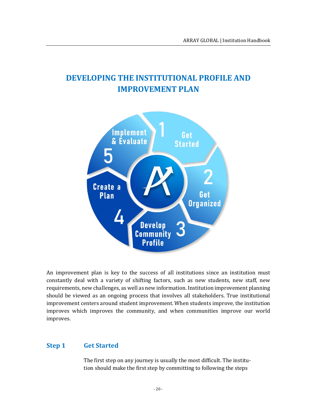# **DEVELOPING THE INSTITUTIONAL PROFILE AND IMPROVEMENT PLAN**



An improvement plan is key to the success of all institutions since an institution must constantly deal with a variety of shifting factors, such as new students, new staff, new requirements, new challenges, as well as new information. Institution improvement planning should be viewed as an ongoing process that involves all stakeholders. True institutional improvement centers around student improvement. When students improve, the institution improves which improves the community, and when communities improve our world improves.

# **Step 1 Get Started**

The first step on any journey is usually the most difficult. The institution should make the first step by committing to following the steps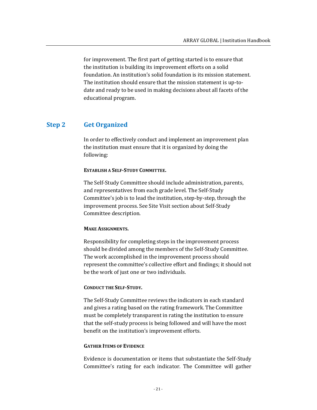for improvement. The first part of getting started is to ensure that the institution is building its improvement efforts on a solid foundation. An institution's solid foundation is its mission statement. The institution should ensure that the mission statement is up-todate and ready to be used in making decisions about all facets of the educational program.

### **Step 2 Get Organized**

In order to effectively conduct and implement an improvement plan the institution must ensure that it is organized by doing the following:

#### **ESTABLISH A SELF-STUDY COMMITTEE.**

The Self-Study Committee should include administration, parents, and representatives from each grade level. The Self-Study Committee's job is to lead the institution, step-by-step, through the improvement process. See Site Visit section about Self-Study Committee description.

#### **MAKE ASSIGNMENTS.**

Responsibility for completing steps in the improvement process should be divided among the members of the Self-Study Committee. The work accomplished in the improvement process should represent the committee's collective effort and findings; it should not be the work of just one or two individuals.

#### **CONDUCT THE SELF-STUDY.**

The Self-Study Committee reviews the indicators in each standard and gives a rating based on the rating framework. The Committee must be completely transparent in rating the institution to ensure that the self-study process is being followed and will have the most benefit on the institution's improvement efforts.

#### **GATHER ITEMS OF EVIDENCE**

Evidence is documentation or items that substantiate the Self-Study Committee's rating for each indicator. The Committee will gather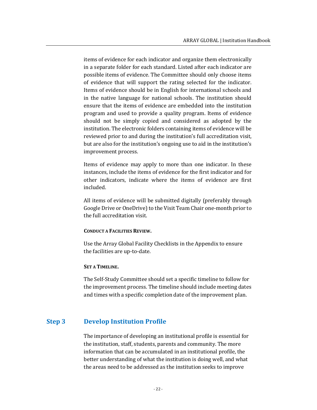items of evidence for each indicator and organize them electronically in a separate folder for each standard. Listed after each indicator are possible items of evidence. The Committee should only choose items of evidence that will support the rating selected for the indicator. Items of evidence should be in English for international schools and in the native language for national schools. The institution should ensure that the items of evidence are embedded into the institution program and used to provide a quality program. Items of evidence should not be simply copied and considered as adopted by the institution. The electronic folders containing items of evidence will be reviewed prior to and during the institution's full accreditation visit, but are also for the institution's ongoing use to aid in the institution's improvement process.

Items of evidence may apply to more than one indicator. In these instances, include the items of evidence for the first indicator and for other indicators, indicate where the items of evidence are first included.

All items of evidence will be submitted digitally (preferably through Google Drive or OneDrive) to the Visit Team Chair one-month prior to the full accreditation visit.

#### **CONDUCT A FACILITIES REVIEW.**

Use the Array Global Facility Checklists in the Appendix to ensure the facilities are up-to-date.

#### **SET A TIMELINE.**

The Self-Study Committee should set a specific timeline to follow for the improvement process. The timeline should include meeting dates and times with a specific completion date of the improvement plan.

# **Step 3 Develop Institution Profile**

The importance of developing an institutional profile is essential for the institution, staff, students, parents and community. The more information that can be accumulated in an institutional profile, the better understanding of what the institution is doing well, and what the areas need to be addressed as the institution seeks to improve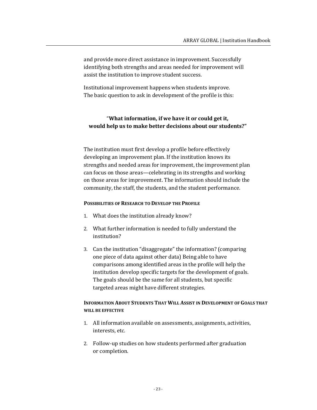and provide more direct assistance in improvement. Successfully identifying both strengths and areas needed for improvement will assist the institution to improve student success.

Institutional improvement happens when students improve. The basic question to ask in development of the profile is this:

# "**What information, if we have it or could get it, would help us to make better decisions about our students?"**

The institution must first develop a profile before effectively developing an improvement plan. If the institution knows its strengths and needed areas for improvement, the improvement plan can focus on those areas—celebrating in its strengths and working on those areas for improvement. The information should include the community, the staff, the students, and the student performance.

#### **POSSIBILITIES OF RESEARCH TO DEVELOP THE PROFILE**

- 1. What does the institution already know?
- 2. What further information is needed to fully understand the institution?
- 3. Can the institution "disaggregate" the information? (comparing one piece of data against other data) Being able to have comparisons among identified areas in the profile will help the institution develop specific targets for the development of goals. The goals should be the same for all students, but specific targeted areas might have different strategies.

#### **INFORMATION ABOUT STUDENTS THAT WILL ASSIST IN DEVELOPMENT OF GOALS THAT WILL BE EFFECTIVE**

- 1. All information available on assessments, assignments, activities, interests, etc.
- 2. Follow-up studies on how students performed after graduation or completion.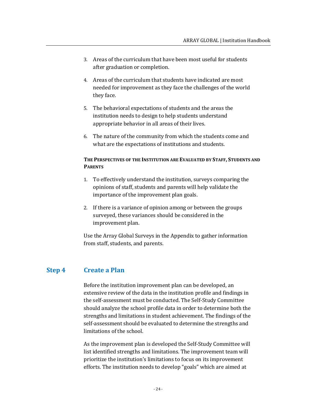- 3. Areas of the curriculum that have been most useful for students after graduation or completion.
- 4. Areas of the curriculum that students have indicated are most needed for improvement as they face the challenges of the world they face.
- 5. The behavioral expectations of students and the areas the institution needs to design to help students understand appropriate behavior in all areas of their lives.
- 6. The nature of the community from which the students come and what are the expectations of institutions and students.

# **THE PERSPECTIVES OF THE INSTITUTION ARE EVALUATED BY STAFF, STUDENTS AND PARENTS**

- 1. To effectively understand the institution, surveys comparing the opinions of staff, students and parents will help validate the importance of the improvement plan goals.
- 2. If there is a variance of opinion among or between the groups surveyed, these variances should be considered in the improvement plan.

Use the Array Global Surveys in the Appendix to gather information from staff, students, and parents.

# **Step 4 Create a Plan**

Before the institution improvement plan can be developed, an extensive review of the data in the institution profile and findings in the self-assessment must be conducted. The Self-Study Committee should analyze the school profile data in order to determine both the strengths and limitations in student achievement. The findings of the self-assessment should be evaluated to determine the strengths and limitations of the school.

As the improvement plan is developed the Self-Study Committee will list identified strengths and limitations. The improvement team will prioritize the institution's limitations to focus on its improvement efforts. The institution needs to develop "goals" which are aimed at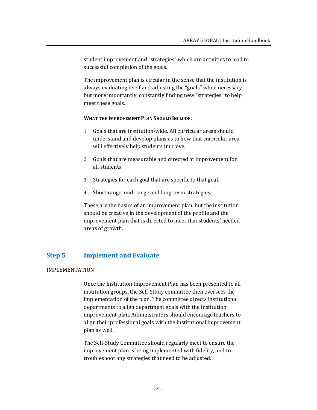student improvement and "strategies" which are activities to lead to successful completion of the goals.

The improvement plan is circular in the sense that the institution is always evaluating itself and adjusting the "goals" when necessary but more importantly, constantly finding new "strategies" to help meet these goals.

#### **WHAT THE IMPROVEMENT PLAN SHOULD INCLUDE:**

- 1. Goals that are institution-wide. All curricular areas should understand and develop plans as to how that curricular area will effectively help students improve.
- 2. Goals that are measurable and directed at improvement for all students.
- 3. Strategies for each goal that are specific to that goal.
- 4. Short range, mid-range and long-term strategies.

These are the basics of an improvement plan, but the institution should be creative in the development of the profile and the improvement plan that is directed to meet that students' needed areas of growth.

### **Step 5 Implement and Evaluate**

#### IMPLEMENTATION

Once the Institution Improvement Plan has been presented to all institution groups, the Self-Study committee then oversees the implementation of the plan. The committee directs institutional departments to align department goals with the institution improvement plan. Administrators should encourage teachers to align their professional goals with the institutional improvement plan as well.

The Self-Study Committee should regularly meet to ensure the improvement plan is being implemented with fidelity, and to troubleshoot any strategies that need to be adjusted.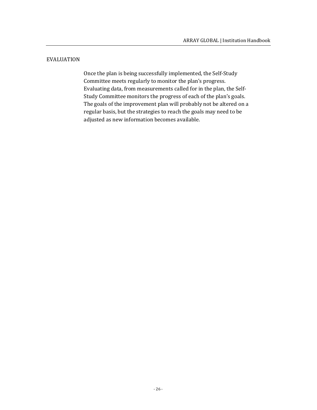#### EVALUATION

Once the plan is being successfully implemented, the Self-Study Committee meets regularly to monitor the plan's progress. Evaluating data, from measurements called for in the plan, the Self-Study Committee monitors the progress of each of the plan's goals. The goals of the improvement plan will probably not be altered on a regular basis, but the strategies to reach the goals may need to be adjusted as new information becomes available.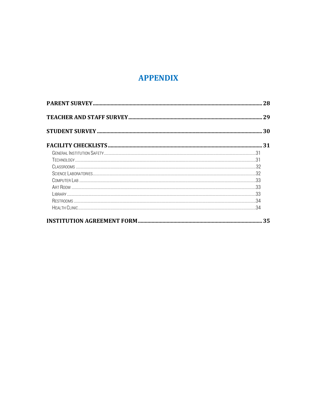# **APPENDIX**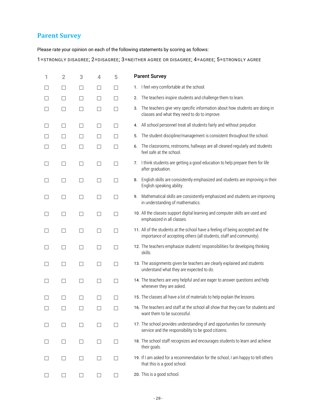# **Parent Survey**

Please rate your opinion on each of the following statements by scoring as follows:

1=STRONGLY DISAGREE; 2=DISAGREE; 3=NEITHER AGREE OR DISAGREE; 4=AGREE; 5=STRONGLY AGREE

| 1 | $\overline{2}$    | 3                 | 4                        | 5                        | <b>Parent Survey</b>                                                                                                                                  |
|---|-------------------|-------------------|--------------------------|--------------------------|-------------------------------------------------------------------------------------------------------------------------------------------------------|
|   | ப                 | $\Box$            | $\mathbf{I}$             | П                        | I feel very comfortable at the school.<br>1.                                                                                                          |
|   | $\Box$            | П                 | $\Box$                   | П                        | The teachers inspire students and challenge them to learn.<br>2.                                                                                      |
|   | П                 | П                 | П                        | П                        | The teachers give very specific information about how students are doing in<br>3.<br>classes and what they need to do to improve.                     |
|   | □                 | □                 | $\Box$                   | □                        | All school personnel treat all students fairly and without prejudice.<br>4.                                                                           |
|   | $\Box$            | $\Box$            | $\Box$                   | □                        | The student discipline/management is consistent throughout the school.<br>5.                                                                          |
|   | П                 | □                 | П                        | П                        | The classrooms, restrooms, hallways are all cleaned regularly and students<br>6.<br>feel safe at the school.                                          |
|   | $\Box$            | □                 | $\overline{\phantom{a}}$ | □                        | I think students are getting a good education to help prepare them for life<br>7.<br>after graduation.                                                |
|   | $\Box$            | П                 | П                        | П                        | English skills are consistently emphasized and students are improving in their<br>8.<br>English speaking ability.                                     |
| П | □                 | □                 | П                        | $\Box$                   | Mathematical skills are consistently emphasized and students are improving<br>9.<br>in understanding of mathematics.                                  |
|   | $\Box$            | $\Box$            | П                        | $\Box$                   | 10. All the classes support digital learning and computer skills are used and<br>emphasized in all classes.                                           |
|   | $\perp$           | $\Box$            | П                        | П                        | 11. All of the students at the school have a feeling of being accepted and the<br>importance of accepting others (all students, staff and community). |
|   | $\Box$            | $\Box$            | $\overline{\phantom{a}}$ | □                        | 12. The teachers emphasize students' responsibilities for developing thinking<br>skills.                                                              |
|   | $\Box$            | П                 | П                        | П                        | 13. The assignments given be teachers are clearly explained and students<br>understand what they are expected to do.                                  |
|   | □                 | $\Box$            | $\Box$                   | $\Box$                   | 14. The teachers are very helpful and are eager to answer questions and help<br>whenever they are asked.                                              |
|   | $\mathsf{I}$      | $\vert \ \ \vert$ | $\overline{\phantom{0}}$ | $\Box$                   | 15. The classes all have a lot of materials to help explain the lessons.                                                                              |
|   |                   |                   |                          |                          | 16. The teachers and staff at the school all show that they care for students and<br>want them to be successful.                                      |
|   | $\vert \ \ \vert$ |                   |                          | $\overline{\phantom{a}}$ | 17. The school provides understanding of and opportunities for community<br>service and the responsibility to be good citizens.                       |
|   | $\Box$            | $\Box$            | $\Box$                   | $\Box$                   | 18. The school staff recognizes and encourages students to learn and achieve<br>their goals.                                                          |
|   | $\perp$           | $\mathsf{L}$      |                          | $\mathbb{R}^n$           | 19. If I am asked for a recommendation for the school, I am happy to tell others<br>that this is a good school.                                       |
|   |                   |                   |                          | $\Box$                   | 20. This is a good school.                                                                                                                            |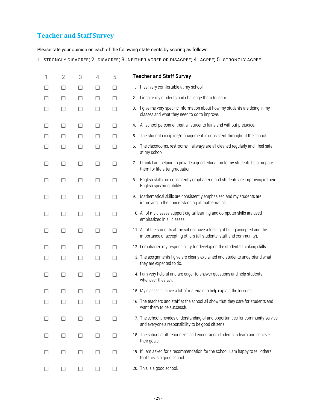# **Teacher and Staff Survey**

Please rate your opinion on each of the following statements by scoring as follows:

1=STRONGLY DISAGREE; 2=DISAGREE; 3=NEITHER AGREE OR DISAGREE; 4=AGREE; 5=STRONGLY AGREE

| 1                        | $\overline{2}$ | 3                        | 4      | 5                        | <b>Teacher and Staff Survey</b>                                                                                                                       |
|--------------------------|----------------|--------------------------|--------|--------------------------|-------------------------------------------------------------------------------------------------------------------------------------------------------|
|                          | □              | □                        | □      | $\overline{\phantom{a}}$ | I feel very comfortable at my school.<br>1.                                                                                                           |
| $\Box$                   | $\Box$         | $\Box$                   | □      | □                        | 2. I inspire my students and challenge them to learn.                                                                                                 |
|                          | ш              | □                        | □      | П                        | 3. I give me very specific information about how my students are doing in my<br>classes and what they need to do to improve.                          |
| П                        | $\Box$         | □                        | $\Box$ | □                        | 4. All school personnel treat all students fairly and without prejudice.                                                                              |
| П                        | $\Box$         | $\Box$                   | □      | □                        | The student discipline/management is consistent throughout the school.<br>5.                                                                          |
| $\overline{\phantom{a}}$ | □              | □                        | $\Box$ | □                        | The classrooms, restrooms, hallways are all cleaned regularly and I feel safe<br>6.<br>at my school.                                                  |
| $\overline{\phantom{a}}$ | ш              | $\Box$                   | $\Box$ | П                        | 7. I think I am helping to provide a good education to my students help prepare<br>them for life after graduation.                                    |
| П                        | ш              | $\mathbb{R}^n$           | □      | П                        | 8. English skills are consistently emphasized and students are improving in their<br>English speaking ability.                                        |
| П                        | □              | $\Box$                   | $\Box$ | П                        | 9. Mathematical skills are consistently emphasized and my students are<br>improving in their understanding of mathematics.                            |
| □                        | □              | □                        | $\Box$ | $\Box$                   | 10. All of my classes support digital learning and computer skills are used<br>emphasized in all classes.                                             |
| $\Box$                   | □              | □                        | □      | □                        | 11. All of the students at the school have a feeling of being accepted and the<br>importance of accepting others (all students, staff and community). |
| $\overline{\phantom{a}}$ | $\Box$         | □                        | $\Box$ | □                        | 12. I emphasize my responsibility for developing the students' thinking skills.                                                                       |
|                          | ⊔              | $\overline{\phantom{a}}$ | $\Box$ | □                        | 13. The assignments I give are clearly explained and students understand what<br>they are expected to do.                                             |
| □                        | $\Box$         | □                        | $\Box$ | □                        | 14. I am very helpful and are eager to answer questions and help students<br>whenever they ask.                                                       |
| $\Box$                   | □              | $\Box$                   | $\Box$ | П                        | 15. My classes all have a lot of materials to help explain the lessons.                                                                               |
|                          |                |                          |        |                          | 16. The teachers and staff at the school all show that they care for students and<br>want them to be successful.                                      |
|                          |                |                          | $\Box$ |                          | 17. The school provides understanding of and opportunities for community service<br>and everyone's responsibility to be good citizens.                |
|                          | $\perp$        |                          | ш      | $\Box$                   | 18. The school staff recognizes and encourages students to learn and achieve<br>their goals.                                                          |
|                          | ш              | $\mathsf{L}$             | □      | $\Box$                   | 19. If I am asked for a recommendation for the school, I am happy to tell others<br>that this is a good school.                                       |
| $\mathbf{I}$             | П              | $\Box$                   | □      | $\Box$                   | 20. This is a good school.                                                                                                                            |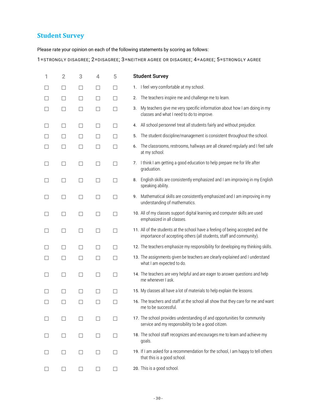# **Student Survey**

Please rate your opinion on each of the following statements by scoring as follows:

1=STRONGLY DISAGREE; 2=DISAGREE; 3=NEITHER AGREE OR DISAGREE; 4=AGREE; 5=STRONGLY AGREE

| 1                        | $\overline{2}$ | 3                        | 4             | 5            | <b>Student Survey</b>                                                                                                                                 |
|--------------------------|----------------|--------------------------|---------------|--------------|-------------------------------------------------------------------------------------------------------------------------------------------------------|
|                          | □              | □                        | $\Box$        | □            | I feel very comfortable at my school.<br>1.                                                                                                           |
|                          | $\Box$         | □                        | $\Box$        | $\Box$       | The teachers inspire me and challenge me to learn.<br>2.                                                                                              |
|                          | $\Box$         | $\Box$                   | $\Box$        | $\Box$       | My teachers give me very specific information about how I am doing in my<br>3.<br>classes and what I need to do to improve.                           |
|                          | □              | $\Box$                   | ⊔             | П            | All school personnel treat all students fairly and without prejudice.<br>4.                                                                           |
|                          | □              | □                        | П             | П            | The student discipline/management is consistent throughout the school.<br>5.                                                                          |
| $\Box$                   | $\Box$         | □                        | П             | $\Box$       | The classrooms, restrooms, hallways are all cleaned regularly and I feel safe<br>6.<br>at my school.                                                  |
| П                        | □              | $\Box$                   | $\Box$        | □            | I think I am getting a good education to help prepare me for life after<br>7.<br>graduation.                                                          |
| $\overline{\phantom{a}}$ | $\Box$         | $\Box$                   | □             | $\Box$       | English skills are consistently emphasized and I am improving in my English<br>8.<br>speaking ability.                                                |
| $\overline{\phantom{a}}$ | $\Box$         | $\overline{\phantom{a}}$ | $\Box$        | □            | Mathematical skills are consistently emphasized and I am improving in my<br>9.<br>understanding of mathematics.                                       |
| П                        | □              | $\Box$                   | $\Box$        | $\Box$       | 10. All of my classes support digital learning and computer skills are used<br>emphasized in all classes.                                             |
| П                        | $\Box$         | □                        | $\Box$        | □            | 11. All of the students at the school have a feeling of being accepted and the<br>importance of accepting others (all students, staff and community). |
| $\overline{\phantom{a}}$ | □              | □                        | $\Box$        | □            | 12. The teachers emphasize my responsibility for developing my thinking skills.                                                                       |
|                          | $\Box$         | □                        | $\mathcal{L}$ | $\Box$       | 13. The assignments given be teachers are clearly explained and I understand<br>what I am expected to do.                                             |
| П                        | □              | □                        | $\Box$        | □            | 14. The teachers are very helpful and are eager to answer questions and help<br>me whenever I ask.                                                    |
| П                        | П              | □                        | $\mathcal{L}$ | $\Box$       | 15. My classes all have a lot of materials to help explain the lessons.                                                                               |
|                          |                |                          |               |              | 16. The teachers and staff at the school all show that they care for me and want<br>me to be successful.                                              |
|                          | $\mathsf{L}$   |                          |               | $\Box$       | 17. The school provides understanding of and opportunities for community<br>service and my responsibility to be a good citizen.                       |
|                          |                |                          |               | $\Box$       | 18. The school staff recognizes and encourages me to learn and achieve my<br>goals.                                                                   |
|                          | $\perp$        | $\mathsf{L}$             |               | $\mathsf{L}$ | 19. If I am asked for a recommendation for the school, I am happy to tell others<br>that this is a good school.                                       |
| $\Box$                   | $\Box$         | ⊔                        | □             | ш            | 20. This is a good school.                                                                                                                            |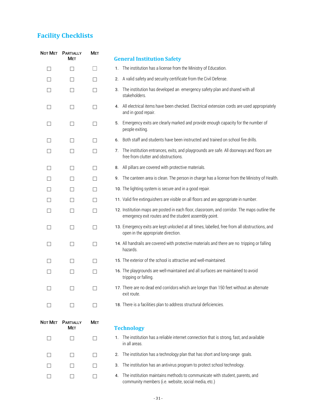# **Facility Checklists**

|              | NOT MET PARTIALLY<br>Мет       | <b>MET</b> | <b>General Institution Safety</b>                                                                                                                     |
|--------------|--------------------------------|------------|-------------------------------------------------------------------------------------------------------------------------------------------------------|
| $\perp$      | П                              | $\Box$     | The institution has a license from the Ministry of Education.<br>1.                                                                                   |
|              | $\Box$                         | П          | A valid safety and security certificate from the Civil Defense.<br>2.                                                                                 |
|              | П                              | □          | The institution has developed an emergency safety plan and shared with all<br>3.<br>stakeholders.                                                     |
|              | $\Box$                         | П          | 4. All electrical items have been checked. Electrical extension cords are used appropriately<br>and in good repair.                                   |
| $\Box$       | □                              | □          | 5. Emergency exits are clearly marked and provide enough capacity for the number of<br>people exiting.                                                |
| $\Box$       | П                              | П          | Both staff and students have been instructed and trained on school fire drills.<br>6.                                                                 |
|              | $\Box$                         | $\Box$     | The institution entrances, exits, and playgrounds are safe. All doorways and floors are<br>7.<br>free from clutter and obstructions.                  |
| $\mathsf{L}$ | $\Box$                         | $\Box$     | All pillars are covered with protective materials.<br>8.                                                                                              |
|              | $\Box$                         | П          | The canteen area is clean. The person in charge has a license from the Ministry of Health.<br>9.                                                      |
|              | $\Box$                         | П          | 10. The lighting system is secure and in a good repair.                                                                                               |
|              | $\Box$                         | П          | 11. Valid fire extinguishers are visible on all floors and are appropriate in number.                                                                 |
| $\Box$       | П                              | $\Box$     | 12. Institution maps are posted in each floor, classroom, and corridor. The maps outline the<br>emergency exit routes and the student assembly point. |
| $\mathsf{L}$ | П                              | □          | 13. Emergency exits are kept unlocked at all times, labelled, free from all obstructions, and<br>open in the appropriate direction.                   |
|              | $\overline{\phantom{a}}$       | □          | 14. All handrails are covered with protective materials and there are no tripping or falling<br>hazards.                                              |
|              | $\vert \ \ \vert$              | П          | 15. The exterior of the school is attractive and well-maintained.                                                                                     |
|              |                                | П          | 16. The playgrounds are well-maintained and all surfaces are maintained to avoid<br>tripping or falling.                                              |
|              | $\mathsf{L}$                   | □          | 17. There are no dead end corridors which are longer than 150 feet without an alternate<br>exit route.                                                |
| $\Box$       | $\Box$                         | $\Box$     | 18. There is a facilities plan to address structural deficiencies.                                                                                    |
| Not MET      | <b>PARTIALLY</b><br><b>MET</b> | <b>MET</b> | <b>Technology</b>                                                                                                                                     |
|              | П                              | □          | 1. The institution has a reliable internet connection that is strong, fast, and available<br>in all areas.                                            |

- ☐ ☐ ☐ 2. The institution has a technology plan that has short and long-range goals.
- ☐ ☐ ☐ 3. The institution has an antivirus program to protect school technology.
- ☐ ☐ ☐ 4. The institution maintains methods to communicate with student, parents, and community members (i.e. website, social media, etc.)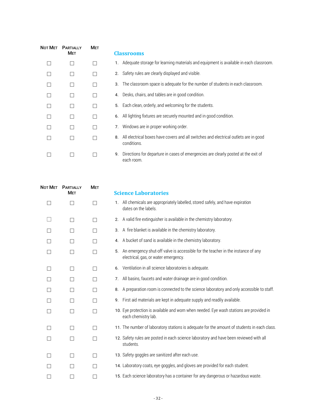| <b>Not Met</b> | <b>PARTIALLY</b><br><b>MET</b> | <b>MET</b> | <b>Classrooms</b>                                                                                         |
|----------------|--------------------------------|------------|-----------------------------------------------------------------------------------------------------------|
|                |                                |            | Adequate storage for learning materials and equipment is available in each classroom.<br>1.               |
|                |                                |            | Safety rules are clearly displayed and visible.<br>2.                                                     |
|                |                                |            | The classroom space is adequate for the number of students in each classroom.<br>3.                       |
|                |                                |            | Desks, chairs, and tables are in good condition.<br>4.                                                    |
|                |                                |            | Each clean, orderly, and welcoming for the students.<br>5.                                                |
|                |                                |            | All lighting fixtures are securely mounted and in good condition.<br>6.                                   |
|                |                                |            | Windows are in proper working order.<br>7.                                                                |
|                |                                |            | All electrical boxes have covers and all switches and electrical outlets are in good<br>8.<br>conditions. |
|                |                                |            | Directions for departure in cases of emergencies are clearly posted at the exit of<br>9.<br>each room.    |

|              | NOT MET PARTIALLY<br><b>MET</b> | Met | <b>Science Laboratories</b>                                                                                                    |
|--------------|---------------------------------|-----|--------------------------------------------------------------------------------------------------------------------------------|
| $\mathbf{I}$ | П                               | П   | 1. All chemicals are appropriately labelled, stored safely, and have expiration<br>dates on the labels.                        |
|              | $\Box$                          | П   | A valid fire extinguisher is available in the chemistry laboratory.<br>2.                                                      |
|              |                                 | П   | A fire blanket is available in the chemistry laboratory.<br>3.                                                                 |
|              | П                               | П   | A bucket of sand is available in the chemistry laboratory.<br>4.                                                               |
| П            | П                               | П   | An emergency shut-off valve is accessible for the teacher in the instance of any<br>5.<br>electrical, gas, or water emergency. |
|              | П                               | П   | Ventilation in all science laboratories is adequate.<br>6.                                                                     |
|              | П                               | П   | All basins, faucets and water drainage are in good condition.<br>7.                                                            |
|              | П                               | П   | A preparation room is connected to the science laboratory and only accessible to staff.<br>8.                                  |
|              | П                               | П   | First aid materials are kept in adequate supply and readily available.<br>9.                                                   |
| П            | П                               | П   | 10. Eye protection is available and worn when needed. Eye wash stations are provided in<br>each chemistry lab.                 |
|              | □                               | П   | 11. The number of laboratory stations is adequate for the amount of students in each class.                                    |
|              | П                               | П   | 12. Safety rules are posted in each science laboratory and have been reviewed with all<br>students.                            |
|              | П                               | П   | 13. Safety goggles are sanitized after each use.                                                                               |
|              |                                 | П   | 14. Laboratory coats, eye goggles, and gloves are provided for each student.                                                   |
|              |                                 |     | 15. Each science laboratory has a container for any dangerous or hazardous waste.                                              |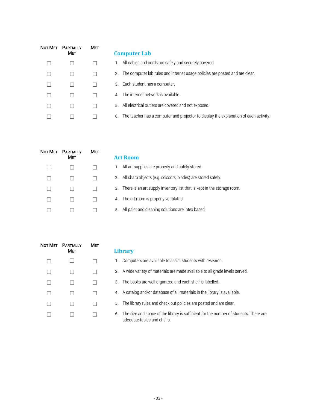| Not Met | <b>PARTIALLY</b><br><b>MET</b> | <b>MET</b> | <b>Computer Lab</b>                                                                         |
|---------|--------------------------------|------------|---------------------------------------------------------------------------------------------|
|         |                                |            | All cables and cords are safely and securely covered.<br>1.                                 |
|         |                                |            | The computer lab rules and internet usage policies are posted and are clear.<br>2.          |
|         |                                |            | 3. Each student has a computer.                                                             |
|         |                                |            | 4. The internet network is available.                                                       |
|         |                                |            | 5. All electrical outlets are covered and not exposed.                                      |
|         |                                |            | The teacher has a computer and projector to display the explanation of each activity.<br>6. |

| Not MET | <b>PARTIALLY</b><br><b>MET</b> | <b>MET</b> | <b>Art Room</b>                                                            |
|---------|--------------------------------|------------|----------------------------------------------------------------------------|
|         |                                |            | 1. All art supplies are properly and safely stored.                        |
|         |                                |            | 2. All sharp objects (e.g. scissors, blades) are stored safely.            |
|         |                                |            | 3. There is an art supply inventory list that is kept in the storage room. |
|         |                                |            | 4. The art room is properly ventilated.                                    |
|         |                                |            | 5. All paint and cleaning solutions are latex based.                       |
|         |                                |            |                                                                            |

|               | NOT MET PARTIALLY<br><b>MET</b> | <b>MET</b>               |  |
|---------------|---------------------------------|--------------------------|--|
| П             |                                 | $\overline{\phantom{a}}$ |  |
|               |                                 |                          |  |
| $\mathcal{L}$ | - 1                             | - 1                      |  |
| - 1           | $\overline{\phantom{a}}$        | $\overline{\phantom{a}}$ |  |
|               |                                 |                          |  |
|               |                                 |                          |  |

| I IVIEI. | <b>FARIALLI</b><br><b>MET</b> | IVIE I |    | <b>Library</b>                                                                                                       |
|----------|-------------------------------|--------|----|----------------------------------------------------------------------------------------------------------------------|
| □        |                               |        |    | 1. Computers are available to assist students with research.                                                         |
| П        |                               |        |    | 2. A wide variety of materials are made available to all grade levels served.                                        |
| П        |                               |        |    | 3. The books are well organized and each shelf is labelled.                                                          |
| П        |                               |        |    | 4. A catalog and/or database of all materials in the library is available.                                           |
| П        |                               |        |    | 5. The library rules and check out policies are posted and are clear.                                                |
| П        |                               |        | 6. | The size and space of the library is sufficient for the number of students. There are<br>adequate tables and chairs. |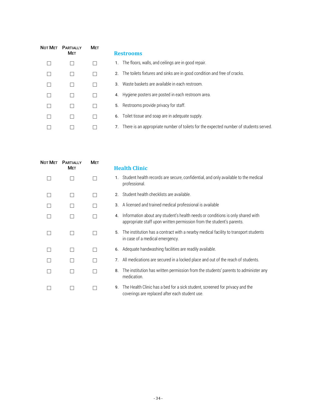| Not Met | <b>PARTIALLY</b><br><b>MET</b> | <b>MET</b> | <b>Restrooms</b>                                                                            |
|---------|--------------------------------|------------|---------------------------------------------------------------------------------------------|
|         |                                |            | 1. The floors, walls, and ceilings are in good repair.                                      |
|         |                                |            | 2. The toilets fixtures and sinks are in good condition and free of cracks.                 |
|         |                                |            | Waste baskets are available in each restroom.<br>3.                                         |
|         |                                |            | 4. Hygiene posters are posted in each restroom area.                                        |
|         |                                |            | 5. Restrooms provide privacy for staff.                                                     |
|         |                                |            | 6. Toilet tissue and soap are in adequate supply.                                           |
|         |                                |            | There is an appropriate number of toilets for the expected number of students served.<br>7. |

| NOT MET | <b>PARTIALLY</b> | <b>MET</b> |    |                                                                                                                                                         |
|---------|------------------|------------|----|---------------------------------------------------------------------------------------------------------------------------------------------------------|
|         | <b>MET</b>       |            |    | <b>Health Clinic</b>                                                                                                                                    |
|         |                  |            | 1. | Student health records are secure, confidential, and only available to the medical<br>professional.                                                     |
|         | $\mathsf{L}$     |            |    | 2. Student health checklists are available.                                                                                                             |
|         |                  |            | 3. | A licensed and trained medical professional is available                                                                                                |
|         |                  |            | 4. | Information about any student's health needs or conditions is only shared with<br>appropriate staff upon written permission from the student's parents. |
|         | П                |            | 5. | The institution has a contract with a nearby medical facility to transport students<br>in case of a medical emergency.                                  |
|         | $\Box$           |            |    | 6. Adequate handwashing facilities are readily available.                                                                                               |
|         |                  |            | 7. | All medications are secured in a locked place and out of the reach of students.                                                                         |
|         |                  |            | 8. | The institution has written permission from the students' parents to administer any<br>medication.                                                      |
|         |                  |            |    | 9. The Health Clinic has a bed for a sick student, screened for privacy and the<br>coverings are replaced after each student use.                       |